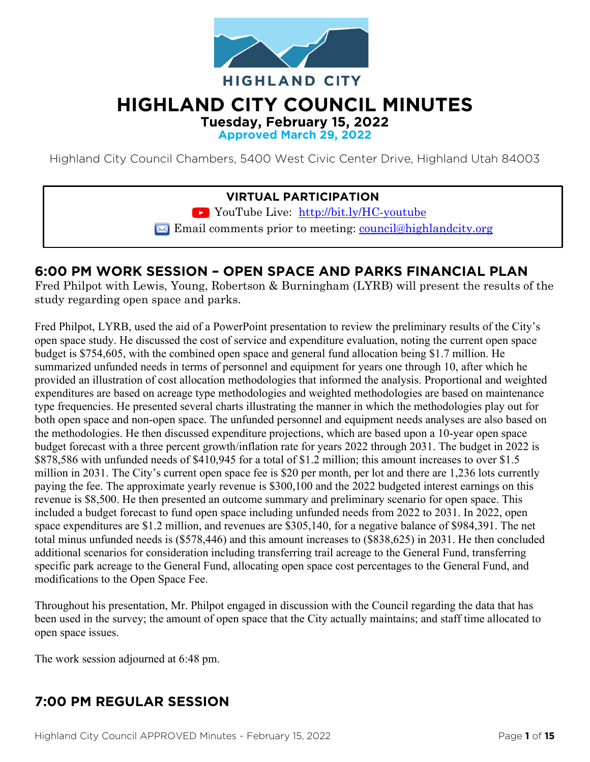

# **HIGHLAND CITY COUNCIL MINUTES**

**Tuesday, February 15, 2022** 

**Approved March 29, 2022**

Highland City Council Chambers, 5400 West Civic Center Drive, Highland Utah 84003

### **VIRTUAL PARTICIPATION**

YouTube Live: <http://bit.ly/HC-youtube>

 $\blacktriangleright$  Email comments prior to meeting: [council@highlandcity.org](mailto:council@highlandcity.org)

### **6:00 PM WORK SESSION – OPEN SPACE AND PARKS FINANCIAL PLAN**

Fred Philpot with Lewis, Young, Robertson & Burningham (LYRB) will present the results of the study regarding open space and parks.

Fred Philpot, LYRB, used the aid of a PowerPoint presentation to review the preliminary results of the City's open space study. He discussed the cost of service and expenditure evaluation, noting the current open space budget is \$754,605, with the combined open space and general fund allocation being \$1.7 million. He summarized unfunded needs in terms of personnel and equipment for years one through 10, after which he provided an illustration of cost allocation methodologies that informed the analysis. Proportional and weighted expenditures are based on acreage type methodologies and weighted methodologies are based on maintenance type frequencies. He presented several charts illustrating the manner in which the methodologies play out for both open space and non-open space. The unfunded personnel and equipment needs analyses are also based on the methodologies. He then discussed expenditure projections, which are based upon a 10-year open space budget forecast with a three percent growth/inflation rate for years 2022 through 2031. The budget in 2022 is \$878,586 with unfunded needs of \$410,945 for a total of \$1.2 million; this amount increases to over \$1.5 million in 2031. The City's current open space fee is \$20 per month, per lot and there are 1,236 lots currently paying the fee. The approximate yearly revenue is \$300,100 and the 2022 budgeted interest earnings on this revenue is \$8,500. He then presented an outcome summary and preliminary scenario for open space. This included a budget forecast to fund open space including unfunded needs from 2022 to 2031. In 2022, open space expenditures are \$1.2 million, and revenues are \$305,140, for a negative balance of \$984,391. The net total minus unfunded needs is (\$578,446) and this amount increases to (\$838,625) in 2031. He then concluded additional scenarios for consideration including transferring trail acreage to the General Fund, transferring specific park acreage to the General Fund, allocating open space cost percentages to the General Fund, and modifications to the Open Space Fee.

Throughout his presentation, Mr. Philpot engaged in discussion with the Council regarding the data that has been used in the survey; the amount of open space that the City actually maintains; and staff time allocated to open space issues.

The work session adjourned at 6:48 pm.

# **7:00 PM REGULAR SESSION**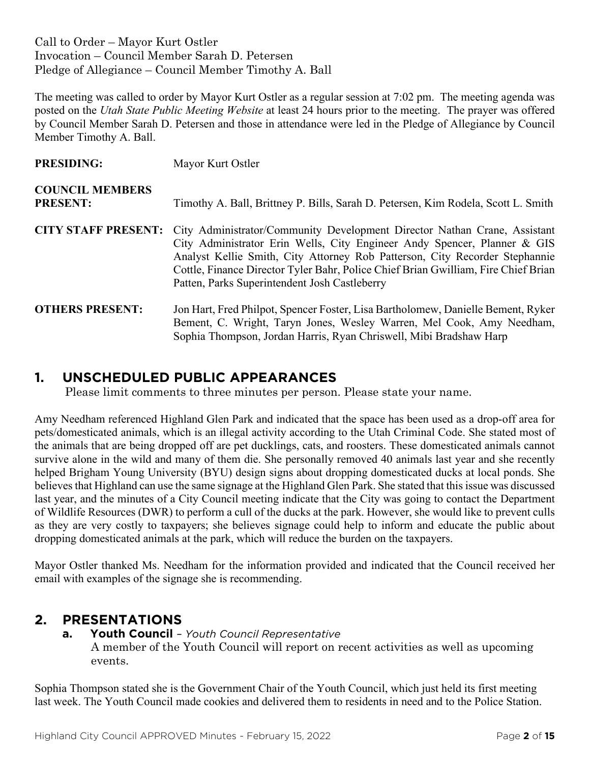Call to Order – Mayor Kurt Ostler Invocation – Council Member Sarah D. Petersen Pledge of Allegiance – Council Member Timothy A. Ball

The meeting was called to order by Mayor Kurt Ostler as a regular session at 7:02 pm. The meeting agenda was posted on the *Utah State Public Meeting Website* at least 24 hours prior to the meeting. The prayer was offered by Council Member Sarah D. Petersen and those in attendance were led in the Pledge of Allegiance by Council Member Timothy A. Ball.

| <b>PRESIDING:</b>                         | Mayor Kurt Ostler                                                                                                                                                                                                                                                                                                                                                           |
|-------------------------------------------|-----------------------------------------------------------------------------------------------------------------------------------------------------------------------------------------------------------------------------------------------------------------------------------------------------------------------------------------------------------------------------|
| <b>COUNCIL MEMBERS</b><br><b>PRESENT:</b> | Timothy A. Ball, Brittney P. Bills, Sarah D. Petersen, Kim Rodela, Scott L. Smith                                                                                                                                                                                                                                                                                           |
| <b>CITY STAFF PRESENT:</b>                | City Administrator/Community Development Director Nathan Crane, Assistant<br>City Administrator Erin Wells, City Engineer Andy Spencer, Planner & GIS<br>Analyst Kellie Smith, City Attorney Rob Patterson, City Recorder Stephannie<br>Cottle, Finance Director Tyler Bahr, Police Chief Brian Gwilliam, Fire Chief Brian<br>Patten, Parks Superintendent Josh Castleberry |
| <b>OTHERS PRESENT:</b>                    | Jon Hart, Fred Philpot, Spencer Foster, Lisa Bartholomew, Danielle Bement, Ryker<br>Bement, C. Wright, Taryn Jones, Wesley Warren, Mel Cook, Amy Needham,<br>Sophia Thompson, Jordan Harris, Ryan Chriswell, Mibi Bradshaw Harp                                                                                                                                             |

### **1. UNSCHEDULED PUBLIC APPEARANCES**

Please limit comments to three minutes per person. Please state your name.

Amy Needham referenced Highland Glen Park and indicated that the space has been used as a drop-off area for pets/domesticated animals, which is an illegal activity according to the Utah Criminal Code. She stated most of the animals that are being dropped off are pet ducklings, cats, and roosters. These domesticated animals cannot survive alone in the wild and many of them die. She personally removed 40 animals last year and she recently helped Brigham Young University (BYU) design signs about dropping domesticated ducks at local ponds. She believes that Highland can use the same signage at the Highland Glen Park. She stated that this issue was discussed last year, and the minutes of a City Council meeting indicate that the City was going to contact the Department of Wildlife Resources (DWR) to perform a cull of the ducks at the park. However, she would like to prevent culls as they are very costly to taxpayers; she believes signage could help to inform and educate the public about dropping domesticated animals at the park, which will reduce the burden on the taxpayers.

Mayor Ostler thanked Ms. Needham for the information provided and indicated that the Council received her email with examples of the signage she is recommending.

### **2. PRESENTATIONS**

**a. Youth Council** *– Youth Council Representative* A member of the Youth Council will report on recent activities as well as upcoming events.

Sophia Thompson stated she is the Government Chair of the Youth Council, which just held its first meeting last week. The Youth Council made cookies and delivered them to residents in need and to the Police Station.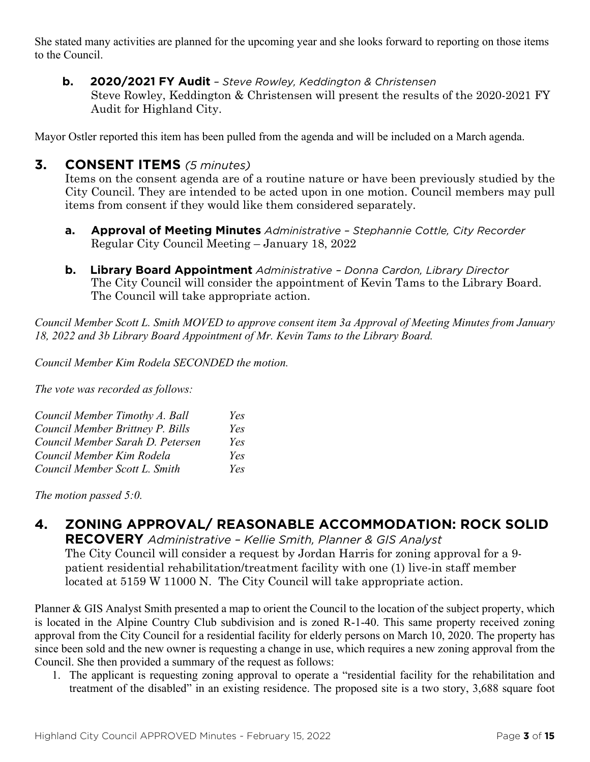She stated many activities are planned for the upcoming year and she looks forward to reporting on those items to the Council.

**b. 2020/2021 FY Audit** *– Steve Rowley, Keddington & Christensen* Steve Rowley, Keddington & Christensen will present the results of the 2020-2021 FY Audit for Highland City.

Mayor Ostler reported this item has been pulled from the agenda and will be included on a March agenda.

### **3. CONSENT ITEMS** *(5 minutes)*

Items on the consent agenda are of a routine nature or have been previously studied by the City Council. They are intended to be acted upon in one motion. Council members may pull items from consent if they would like them considered separately.

- **a. Approval of Meeting Minutes** *Administrative – Stephannie Cottle, City Recorder* Regular City Council Meeting – January 18, 2022
- **b. Library Board Appointment** *Administrative – Donna Cardon, Library Director* The City Council will consider the appointment of Kevin Tams to the Library Board. The Council will take appropriate action.

*Council Member Scott L. Smith MOVED to approve consent item 3a Approval of Meeting Minutes from January 18, 2022 and 3b Library Board Appointment of Mr. Kevin Tams to the Library Board.*

*Council Member Kim Rodela SECONDED the motion.*

*The vote was recorded as follows:*

| Council Member Timothy A. Ball   | Yes |
|----------------------------------|-----|
| Council Member Brittney P. Bills | Yes |
| Council Member Sarah D. Petersen | Yes |
| Council Member Kim Rodela        | Yes |
| Council Member Scott L. Smith    | Yes |

*The motion passed 5:0.* 

### **4. ZONING APPROVAL/ REASONABLE ACCOMMODATION: ROCK SOLID**

**RECOVERY** *Administrative – Kellie Smith, Planner & GIS Analyst* The City Council will consider a request by Jordan Harris for zoning approval for a 9 patient residential rehabilitation/treatment facility with one (1) live-in staff member located at 5159 W 11000 N. The City Council will take appropriate action.

Planner & GIS Analyst Smith presented a map to orient the Council to the location of the subject property, which is located in the Alpine Country Club subdivision and is zoned R-1-40. This same property received zoning approval from the City Council for a residential facility for elderly persons on March 10, 2020. The property has since been sold and the new owner is requesting a change in use, which requires a new zoning approval from the Council. She then provided a summary of the request as follows:

1. The applicant is requesting zoning approval to operate a "residential facility for the rehabilitation and treatment of the disabled" in an existing residence. The proposed site is a two story, 3,688 square foot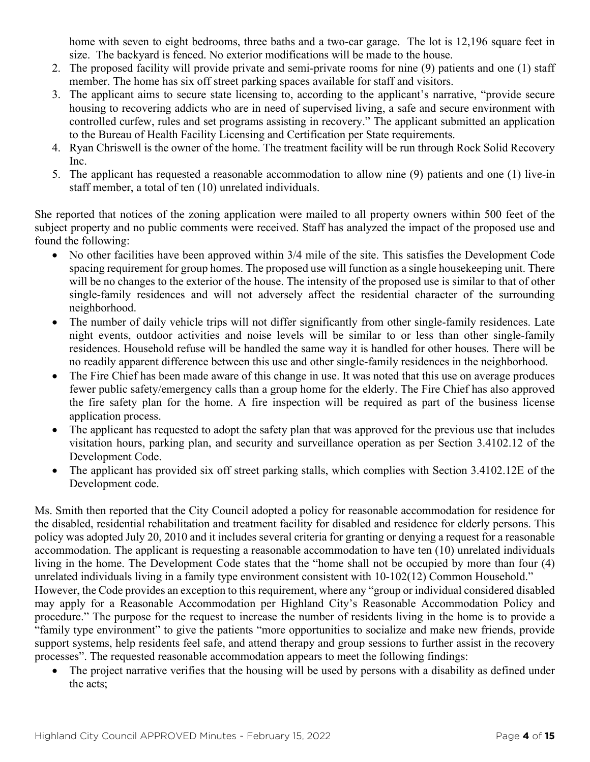home with seven to eight bedrooms, three baths and a two-car garage. The lot is 12,196 square feet in size. The backyard is fenced. No exterior modifications will be made to the house.

- 2. The proposed facility will provide private and semi-private rooms for nine (9) patients and one (1) staff member. The home has six off street parking spaces available for staff and visitors.
- 3. The applicant aims to secure state licensing to, according to the applicant's narrative, "provide secure housing to recovering addicts who are in need of supervised living, a safe and secure environment with controlled curfew, rules and set programs assisting in recovery." The applicant submitted an application to the Bureau of Health Facility Licensing and Certification per State requirements.
- 4. Ryan Chriswell is the owner of the home. The treatment facility will be run through Rock Solid Recovery Inc.
- 5. The applicant has requested a reasonable accommodation to allow nine (9) patients and one (1) live-in staff member, a total of ten (10) unrelated individuals.

She reported that notices of the zoning application were mailed to all property owners within 500 feet of the subject property and no public comments were received. Staff has analyzed the impact of the proposed use and found the following:

- No other facilities have been approved within 3/4 mile of the site. This satisfies the Development Code spacing requirement for group homes. The proposed use will function as a single housekeeping unit. There will be no changes to the exterior of the house. The intensity of the proposed use is similar to that of other single-family residences and will not adversely affect the residential character of the surrounding neighborhood.
- The number of daily vehicle trips will not differ significantly from other single-family residences. Late night events, outdoor activities and noise levels will be similar to or less than other single-family residences. Household refuse will be handled the same way it is handled for other houses. There will be no readily apparent difference between this use and other single-family residences in the neighborhood.
- The Fire Chief has been made aware of this change in use. It was noted that this use on average produces fewer public safety/emergency calls than a group home for the elderly. The Fire Chief has also approved the fire safety plan for the home. A fire inspection will be required as part of the business license application process.
- The applicant has requested to adopt the safety plan that was approved for the previous use that includes visitation hours, parking plan, and security and surveillance operation as per Section 3.4102.12 of the Development Code.
- The applicant has provided six off street parking stalls, which complies with Section 3.4102.12E of the Development code.

Ms. Smith then reported that the City Council adopted a policy for reasonable accommodation for residence for the disabled, residential rehabilitation and treatment facility for disabled and residence for elderly persons. This policy was adopted July 20, 2010 and it includes several criteria for granting or denying a request for a reasonable accommodation. The applicant is requesting a reasonable accommodation to have ten (10) unrelated individuals living in the home. The Development Code states that the "home shall not be occupied by more than four (4) unrelated individuals living in a family type environment consistent with 10-102(12) Common Household." However, the Code provides an exception to this requirement, where any "group or individual considered disabled may apply for a Reasonable Accommodation per Highland City's Reasonable Accommodation Policy and procedure." The purpose for the request to increase the number of residents living in the home is to provide a "family type environment" to give the patients "more opportunities to socialize and make new friends, provide support systems, help residents feel safe, and attend therapy and group sessions to further assist in the recovery processes". The requested reasonable accommodation appears to meet the following findings:

The project narrative verifies that the housing will be used by persons with a disability as defined under the acts;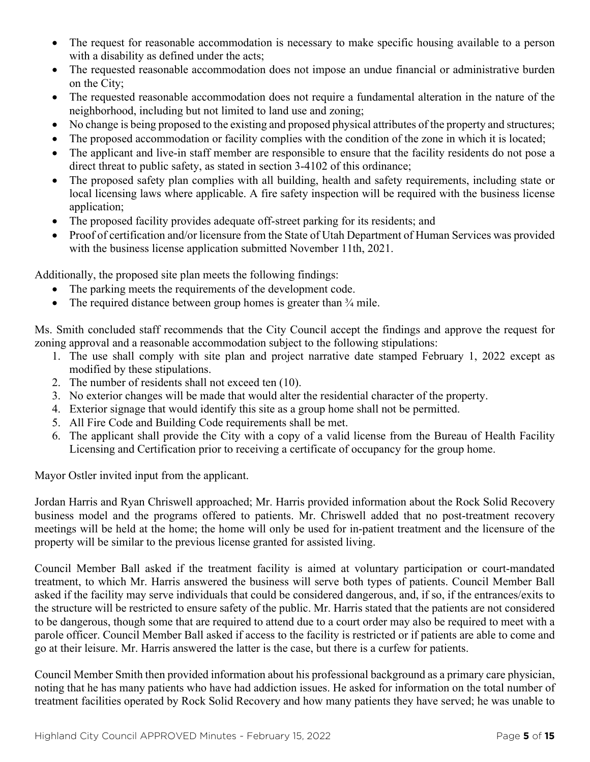- The request for reasonable accommodation is necessary to make specific housing available to a person with a disability as defined under the acts;
- The requested reasonable accommodation does not impose an undue financial or administrative burden on the City;
- The requested reasonable accommodation does not require a fundamental alteration in the nature of the neighborhood, including but not limited to land use and zoning;
- No change is being proposed to the existing and proposed physical attributes of the property and structures;
- The proposed accommodation or facility complies with the condition of the zone in which it is located;
- The applicant and live-in staff member are responsible to ensure that the facility residents do not pose a direct threat to public safety, as stated in section 3-4102 of this ordinance;
- The proposed safety plan complies with all building, health and safety requirements, including state or local licensing laws where applicable. A fire safety inspection will be required with the business license application;
- The proposed facility provides adequate off-street parking for its residents; and
- Proof of certification and/or licensure from the State of Utah Department of Human Services was provided with the business license application submitted November 11th, 2021.

Additionally, the proposed site plan meets the following findings:

- The parking meets the requirements of the development code.
- The required distance between group homes is greater than  $\frac{3}{4}$  mile.

Ms. Smith concluded staff recommends that the City Council accept the findings and approve the request for zoning approval and a reasonable accommodation subject to the following stipulations:

- 1. The use shall comply with site plan and project narrative date stamped February 1, 2022 except as modified by these stipulations.
- 2. The number of residents shall not exceed ten (10).
- 3. No exterior changes will be made that would alter the residential character of the property.
- 4. Exterior signage that would identify this site as a group home shall not be permitted.
- 5. All Fire Code and Building Code requirements shall be met.
- 6. The applicant shall provide the City with a copy of a valid license from the Bureau of Health Facility Licensing and Certification prior to receiving a certificate of occupancy for the group home.

Mayor Ostler invited input from the applicant.

Jordan Harris and Ryan Chriswell approached; Mr. Harris provided information about the Rock Solid Recovery business model and the programs offered to patients. Mr. Chriswell added that no post-treatment recovery meetings will be held at the home; the home will only be used for in-patient treatment and the licensure of the property will be similar to the previous license granted for assisted living.

Council Member Ball asked if the treatment facility is aimed at voluntary participation or court-mandated treatment, to which Mr. Harris answered the business will serve both types of patients. Council Member Ball asked if the facility may serve individuals that could be considered dangerous, and, if so, if the entrances/exits to the structure will be restricted to ensure safety of the public. Mr. Harris stated that the patients are not considered to be dangerous, though some that are required to attend due to a court order may also be required to meet with a parole officer. Council Member Ball asked if access to the facility is restricted or if patients are able to come and go at their leisure. Mr. Harris answered the latter is the case, but there is a curfew for patients.

Council Member Smith then provided information about his professional background as a primary care physician, noting that he has many patients who have had addiction issues. He asked for information on the total number of treatment facilities operated by Rock Solid Recovery and how many patients they have served; he was unable to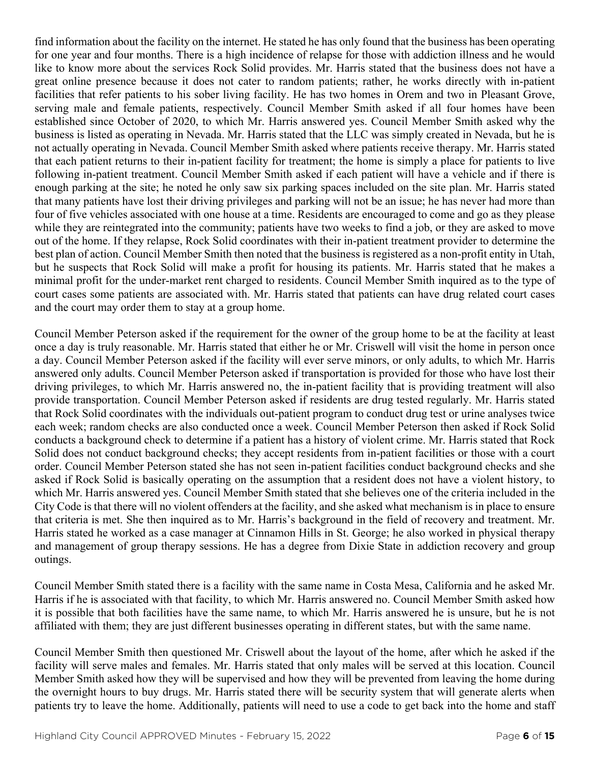find information about the facility on the internet. He stated he has only found that the business has been operating for one year and four months. There is a high incidence of relapse for those with addiction illness and he would like to know more about the services Rock Solid provides. Mr. Harris stated that the business does not have a great online presence because it does not cater to random patients; rather, he works directly with in-patient facilities that refer patients to his sober living facility. He has two homes in Orem and two in Pleasant Grove, serving male and female patients, respectively. Council Member Smith asked if all four homes have been established since October of 2020, to which Mr. Harris answered yes. Council Member Smith asked why the business is listed as operating in Nevada. Mr. Harris stated that the LLC was simply created in Nevada, but he is not actually operating in Nevada. Council Member Smith asked where patients receive therapy. Mr. Harris stated that each patient returns to their in-patient facility for treatment; the home is simply a place for patients to live following in-patient treatment. Council Member Smith asked if each patient will have a vehicle and if there is enough parking at the site; he noted he only saw six parking spaces included on the site plan. Mr. Harris stated that many patients have lost their driving privileges and parking will not be an issue; he has never had more than four of five vehicles associated with one house at a time. Residents are encouraged to come and go as they please while they are reintegrated into the community; patients have two weeks to find a job, or they are asked to move out of the home. If they relapse, Rock Solid coordinates with their in-patient treatment provider to determine the best plan of action. Council Member Smith then noted that the business is registered as a non-profit entity in Utah, but he suspects that Rock Solid will make a profit for housing its patients. Mr. Harris stated that he makes a minimal profit for the under-market rent charged to residents. Council Member Smith inquired as to the type of court cases some patients are associated with. Mr. Harris stated that patients can have drug related court cases and the court may order them to stay at a group home.

Council Member Peterson asked if the requirement for the owner of the group home to be at the facility at least once a day is truly reasonable. Mr. Harris stated that either he or Mr. Criswell will visit the home in person once a day. Council Member Peterson asked if the facility will ever serve minors, or only adults, to which Mr. Harris answered only adults. Council Member Peterson asked if transportation is provided for those who have lost their driving privileges, to which Mr. Harris answered no, the in-patient facility that is providing treatment will also provide transportation. Council Member Peterson asked if residents are drug tested regularly. Mr. Harris stated that Rock Solid coordinates with the individuals out-patient program to conduct drug test or urine analyses twice each week; random checks are also conducted once a week. Council Member Peterson then asked if Rock Solid conducts a background check to determine if a patient has a history of violent crime. Mr. Harris stated that Rock Solid does not conduct background checks; they accept residents from in-patient facilities or those with a court order. Council Member Peterson stated she has not seen in-patient facilities conduct background checks and she asked if Rock Solid is basically operating on the assumption that a resident does not have a violent history, to which Mr. Harris answered yes. Council Member Smith stated that she believes one of the criteria included in the City Code is that there will no violent offenders at the facility, and she asked what mechanism is in place to ensure that criteria is met. She then inquired as to Mr. Harris's background in the field of recovery and treatment. Mr. Harris stated he worked as a case manager at Cinnamon Hills in St. George; he also worked in physical therapy and management of group therapy sessions. He has a degree from Dixie State in addiction recovery and group outings.

Council Member Smith stated there is a facility with the same name in Costa Mesa, California and he asked Mr. Harris if he is associated with that facility, to which Mr. Harris answered no. Council Member Smith asked how it is possible that both facilities have the same name, to which Mr. Harris answered he is unsure, but he is not affiliated with them; they are just different businesses operating in different states, but with the same name.

Council Member Smith then questioned Mr. Criswell about the layout of the home, after which he asked if the facility will serve males and females. Mr. Harris stated that only males will be served at this location. Council Member Smith asked how they will be supervised and how they will be prevented from leaving the home during the overnight hours to buy drugs. Mr. Harris stated there will be security system that will generate alerts when patients try to leave the home. Additionally, patients will need to use a code to get back into the home and staff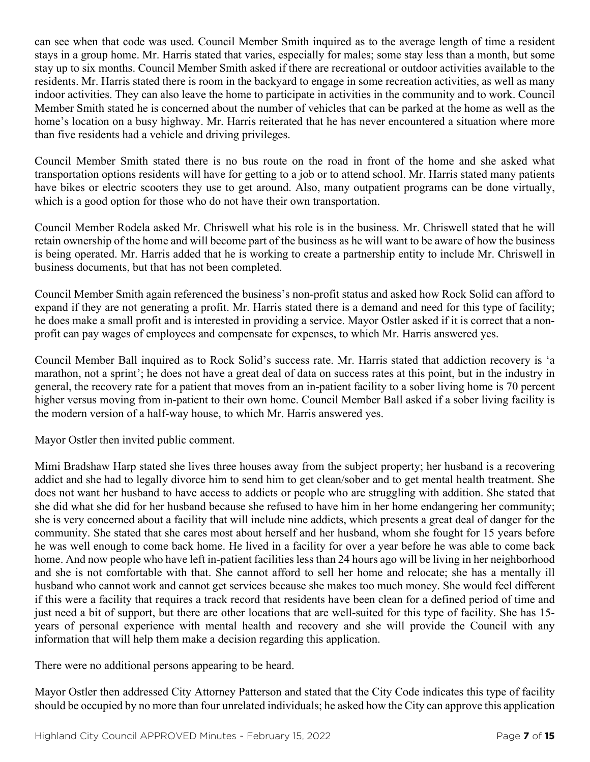can see when that code was used. Council Member Smith inquired as to the average length of time a resident stays in a group home. Mr. Harris stated that varies, especially for males; some stay less than a month, but some stay up to six months. Council Member Smith asked if there are recreational or outdoor activities available to the residents. Mr. Harris stated there is room in the backyard to engage in some recreation activities, as well as many indoor activities. They can also leave the home to participate in activities in the community and to work. Council Member Smith stated he is concerned about the number of vehicles that can be parked at the home as well as the home's location on a busy highway. Mr. Harris reiterated that he has never encountered a situation where more than five residents had a vehicle and driving privileges.

Council Member Smith stated there is no bus route on the road in front of the home and she asked what transportation options residents will have for getting to a job or to attend school. Mr. Harris stated many patients have bikes or electric scooters they use to get around. Also, many outpatient programs can be done virtually, which is a good option for those who do not have their own transportation.

Council Member Rodela asked Mr. Chriswell what his role is in the business. Mr. Chriswell stated that he will retain ownership of the home and will become part of the business as he will want to be aware of how the business is being operated. Mr. Harris added that he is working to create a partnership entity to include Mr. Chriswell in business documents, but that has not been completed.

Council Member Smith again referenced the business's non-profit status and asked how Rock Solid can afford to expand if they are not generating a profit. Mr. Harris stated there is a demand and need for this type of facility; he does make a small profit and is interested in providing a service. Mayor Ostler asked if it is correct that a nonprofit can pay wages of employees and compensate for expenses, to which Mr. Harris answered yes.

Council Member Ball inquired as to Rock Solid's success rate. Mr. Harris stated that addiction recovery is 'a marathon, not a sprint'; he does not have a great deal of data on success rates at this point, but in the industry in general, the recovery rate for a patient that moves from an in-patient facility to a sober living home is 70 percent higher versus moving from in-patient to their own home. Council Member Ball asked if a sober living facility is the modern version of a half-way house, to which Mr. Harris answered yes.

Mayor Ostler then invited public comment.

Mimi Bradshaw Harp stated she lives three houses away from the subject property; her husband is a recovering addict and she had to legally divorce him to send him to get clean/sober and to get mental health treatment. She does not want her husband to have access to addicts or people who are struggling with addition. She stated that she did what she did for her husband because she refused to have him in her home endangering her community; she is very concerned about a facility that will include nine addicts, which presents a great deal of danger for the community. She stated that she cares most about herself and her husband, whom she fought for 15 years before he was well enough to come back home. He lived in a facility for over a year before he was able to come back home. And now people who have left in-patient facilities less than 24 hours ago will be living in her neighborhood and she is not comfortable with that. She cannot afford to sell her home and relocate; she has a mentally ill husband who cannot work and cannot get services because she makes too much money. She would feel different if this were a facility that requires a track record that residents have been clean for a defined period of time and just need a bit of support, but there are other locations that are well-suited for this type of facility. She has 15years of personal experience with mental health and recovery and she will provide the Council with any information that will help them make a decision regarding this application.

There were no additional persons appearing to be heard.

Mayor Ostler then addressed City Attorney Patterson and stated that the City Code indicates this type of facility should be occupied by no more than four unrelated individuals; he asked how the City can approve this application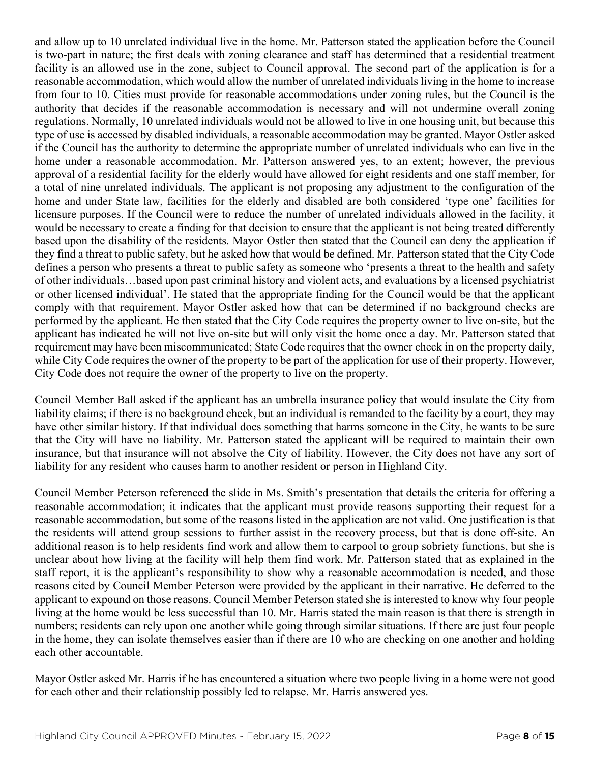and allow up to 10 unrelated individual live in the home. Mr. Patterson stated the application before the Council is two-part in nature; the first deals with zoning clearance and staff has determined that a residential treatment facility is an allowed use in the zone, subject to Council approval. The second part of the application is for a reasonable accommodation, which would allow the number of unrelated individuals living in the home to increase from four to 10. Cities must provide for reasonable accommodations under zoning rules, but the Council is the authority that decides if the reasonable accommodation is necessary and will not undermine overall zoning regulations. Normally, 10 unrelated individuals would not be allowed to live in one housing unit, but because this type of use is accessed by disabled individuals, a reasonable accommodation may be granted. Mayor Ostler asked if the Council has the authority to determine the appropriate number of unrelated individuals who can live in the home under a reasonable accommodation. Mr. Patterson answered yes, to an extent; however, the previous approval of a residential facility for the elderly would have allowed for eight residents and one staff member, for a total of nine unrelated individuals. The applicant is not proposing any adjustment to the configuration of the home and under State law, facilities for the elderly and disabled are both considered 'type one' facilities for licensure purposes. If the Council were to reduce the number of unrelated individuals allowed in the facility, it would be necessary to create a finding for that decision to ensure that the applicant is not being treated differently based upon the disability of the residents. Mayor Ostler then stated that the Council can deny the application if they find a threat to public safety, but he asked how that would be defined. Mr. Patterson stated that the City Code defines a person who presents a threat to public safety as someone who 'presents a threat to the health and safety of other individuals…based upon past criminal history and violent acts, and evaluations by a licensed psychiatrist or other licensed individual'. He stated that the appropriate finding for the Council would be that the applicant comply with that requirement. Mayor Ostler asked how that can be determined if no background checks are performed by the applicant. He then stated that the City Code requires the property owner to live on-site, but the applicant has indicated he will not live on-site but will only visit the home once a day. Mr. Patterson stated that requirement may have been miscommunicated; State Code requires that the owner check in on the property daily, while City Code requires the owner of the property to be part of the application for use of their property. However, City Code does not require the owner of the property to live on the property.

Council Member Ball asked if the applicant has an umbrella insurance policy that would insulate the City from liability claims; if there is no background check, but an individual is remanded to the facility by a court, they may have other similar history. If that individual does something that harms someone in the City, he wants to be sure that the City will have no liability. Mr. Patterson stated the applicant will be required to maintain their own insurance, but that insurance will not absolve the City of liability. However, the City does not have any sort of liability for any resident who causes harm to another resident or person in Highland City.

Council Member Peterson referenced the slide in Ms. Smith's presentation that details the criteria for offering a reasonable accommodation; it indicates that the applicant must provide reasons supporting their request for a reasonable accommodation, but some of the reasons listed in the application are not valid. One justification is that the residents will attend group sessions to further assist in the recovery process, but that is done off-site. An additional reason is to help residents find work and allow them to carpool to group sobriety functions, but she is unclear about how living at the facility will help them find work. Mr. Patterson stated that as explained in the staff report, it is the applicant's responsibility to show why a reasonable accommodation is needed, and those reasons cited by Council Member Peterson were provided by the applicant in their narrative. He deferred to the applicant to expound on those reasons. Council Member Peterson stated she is interested to know why four people living at the home would be less successful than 10. Mr. Harris stated the main reason is that there is strength in numbers; residents can rely upon one another while going through similar situations. If there are just four people in the home, they can isolate themselves easier than if there are 10 who are checking on one another and holding each other accountable.

Mayor Ostler asked Mr. Harris if he has encountered a situation where two people living in a home were not good for each other and their relationship possibly led to relapse. Mr. Harris answered yes.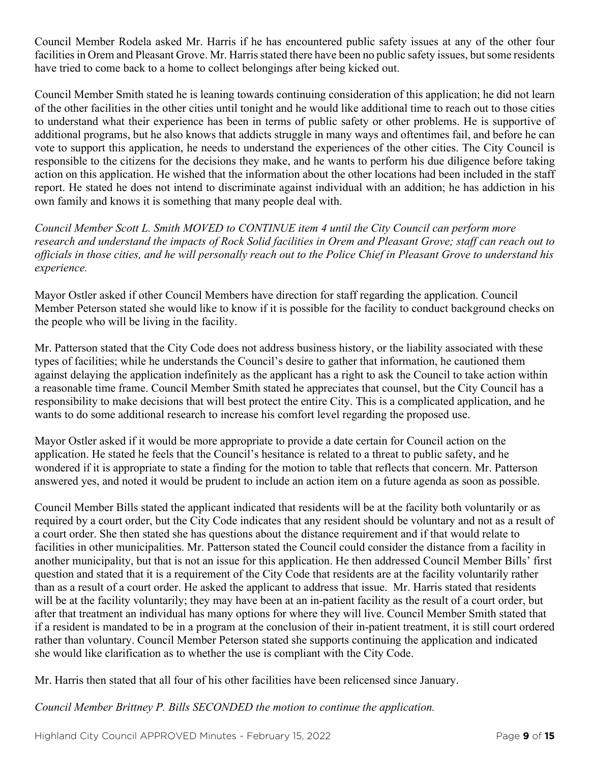Council Member Rodela asked Mr. Harris if he has encountered public safety issues at any of the other four facilities in Orem and Pleasant Grove. Mr. Harris stated there have been no public safety issues, but some residents have tried to come back to a home to collect belongings after being kicked out.

Council Member Smith stated he is leaning towards continuing consideration of this application; he did not learn of the other facilities in the other cities until tonight and he would like additional time to reach out to those cities to understand what their experience has been in terms of public safety or other problems. He is supportive of additional programs, but he also knows that addicts struggle in many ways and oftentimes fail, and before he can vote to support this application, he needs to understand the experiences of the other cities. The City Council is responsible to the citizens for the decisions they make, and he wants to perform his due diligence before taking action on this application. He wished that the information about the other locations had been included in the staff report. He stated he does not intend to discriminate against individual with an addition; he has addiction in his own family and knows it is something that many people deal with.

*Council Member Scott L. Smith MOVED to CONTINUE item 4 until the City Council can perform more research and understand the impacts of Rock Solid facilities in Orem and Pleasant Grove; staff can reach out to officials in those cities, and he will personally reach out to the Police Chief in Pleasant Grove to understand his experience.* 

Mayor Ostler asked if other Council Members have direction for staff regarding the application. Council Member Peterson stated she would like to know if it is possible for the facility to conduct background checks on the people who will be living in the facility.

Mr. Patterson stated that the City Code does not address business history, or the liability associated with these types of facilities; while he understands the Council's desire to gather that information, he cautioned them against delaying the application indefinitely as the applicant has a right to ask the Council to take action within a reasonable time frame. Council Member Smith stated he appreciates that counsel, but the City Council has a responsibility to make decisions that will best protect the entire City. This is a complicated application, and he wants to do some additional research to increase his comfort level regarding the proposed use.

Mayor Ostler asked if it would be more appropriate to provide a date certain for Council action on the application. He stated he feels that the Council's hesitance is related to a threat to public safety, and he wondered if it is appropriate to state a finding for the motion to table that reflects that concern. Mr. Patterson answered yes, and noted it would be prudent to include an action item on a future agenda as soon as possible.

Council Member Bills stated the applicant indicated that residents will be at the facility both voluntarily or as required by a court order, but the City Code indicates that any resident should be voluntary and not as a result of a court order. She then stated she has questions about the distance requirement and if that would relate to facilities in other municipalities. Mr. Patterson stated the Council could consider the distance from a facility in another municipality, but that is not an issue for this application. He then addressed Council Member Bills' first question and stated that it is a requirement of the City Code that residents are at the facility voluntarily rather than as a result of a court order. He asked the applicant to address that issue. Mr. Harris stated that residents will be at the facility voluntarily; they may have been at an in-patient facility as the result of a court order, but after that treatment an individual has many options for where they will live. Council Member Smith stated that if a resident is mandated to be in a program at the conclusion of their in-patient treatment, it is still court ordered rather than voluntary. Council Member Peterson stated she supports continuing the application and indicated she would like clarification as to whether the use is compliant with the City Code.

Mr. Harris then stated that all four of his other facilities have been relicensed since January.

*Council Member Brittney P. Bills SECONDED the motion to continue the application.*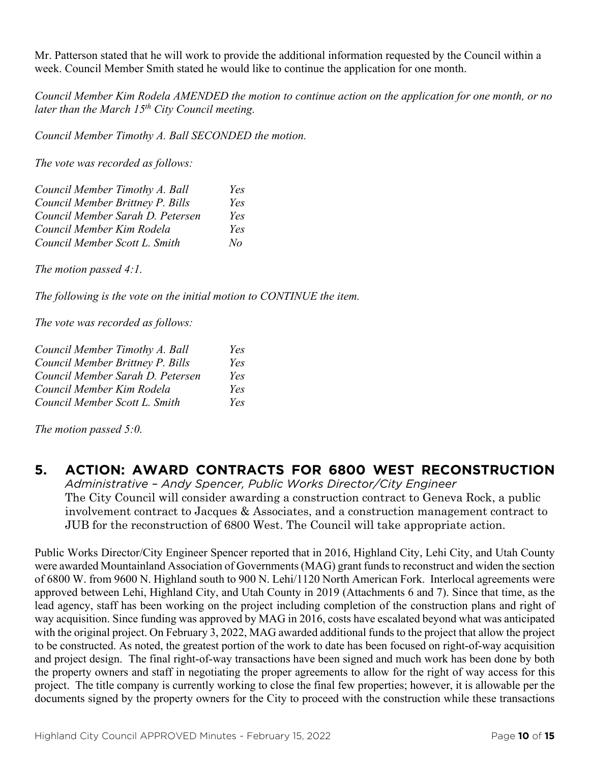Mr. Patterson stated that he will work to provide the additional information requested by the Council within a week. Council Member Smith stated he would like to continue the application for one month.

*Council Member Kim Rodela AMENDED the motion to continue action on the application for one month, or no later than the March 15th City Council meeting.*

*Council Member Timothy A. Ball SECONDED the motion.*

*The vote was recorded as follows:*

| Council Member Timothy A. Ball   | Yes |
|----------------------------------|-----|
| Council Member Brittney P. Bills | Yes |
| Council Member Sarah D. Petersen | Yes |
| Council Member Kim Rodela        | Yes |
| Council Member Scott L. Smith    | No  |

*The motion passed 4:1.* 

*The following is the vote on the initial motion to CONTINUE the item.*

*The vote was recorded as follows:*

| Council Member Timothy A. Ball   | Yes |
|----------------------------------|-----|
| Council Member Brittney P. Bills | Yes |
| Council Member Sarah D. Petersen | Yes |
| Council Member Kim Rodela        | Yes |
| Council Member Scott L. Smith    | Yes |

*The motion passed 5:0.* 

### **5. ACTION: AWARD CONTRACTS FOR 6800 WEST RECONSTRUCTION**

*Administrative – Andy Spencer, Public Works Director/City Engineer* The City Council will consider awarding a construction contract to Geneva Rock, a public involvement contract to Jacques & Associates, and a construction management contract to JUB for the reconstruction of 6800 West. The Council will take appropriate action.

Public Works Director/City Engineer Spencer reported that in 2016, Highland City, Lehi City, and Utah County were awarded Mountainland Association of Governments (MAG) grant funds to reconstruct and widen the section of 6800 W. from 9600 N. Highland south to 900 N. Lehi/1120 North American Fork. Interlocal agreements were approved between Lehi, Highland City, and Utah County in 2019 (Attachments 6 and 7). Since that time, as the lead agency, staff has been working on the project including completion of the construction plans and right of way acquisition. Since funding was approved by MAG in 2016, costs have escalated beyond what was anticipated with the original project. On February 3, 2022, MAG awarded additional funds to the project that allow the project to be constructed. As noted, the greatest portion of the work to date has been focused on right-of-way acquisition and project design. The final right-of-way transactions have been signed and much work has been done by both the property owners and staff in negotiating the proper agreements to allow for the right of way access for this project. The title company is currently working to close the final few properties; however, it is allowable per the documents signed by the property owners for the City to proceed with the construction while these transactions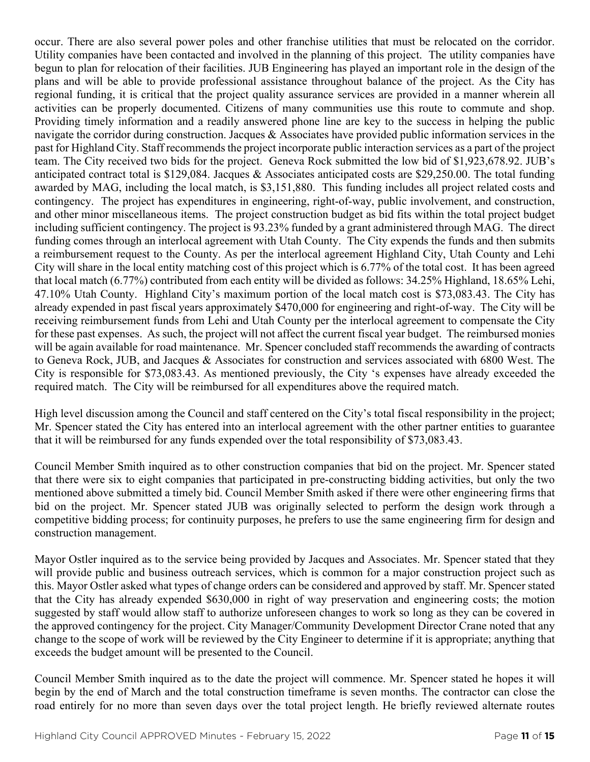occur. There are also several power poles and other franchise utilities that must be relocated on the corridor. Utility companies have been contacted and involved in the planning of this project. The utility companies have begun to plan for relocation of their facilities. JUB Engineering has played an important role in the design of the plans and will be able to provide professional assistance throughout balance of the project. As the City has regional funding, it is critical that the project quality assurance services are provided in a manner wherein all activities can be properly documented. Citizens of many communities use this route to commute and shop. Providing timely information and a readily answered phone line are key to the success in helping the public navigate the corridor during construction. Jacques & Associates have provided public information services in the past for Highland City. Staff recommends the project incorporate public interaction services as a part of the project team. The City received two bids for the project. Geneva Rock submitted the low bid of \$1,923,678.92. JUB's anticipated contract total is \$129,084. Jacques & Associates anticipated costs are \$29,250.00. The total funding awarded by MAG, including the local match, is \$3,151,880. This funding includes all project related costs and contingency. The project has expenditures in engineering, right-of-way, public involvement, and construction, and other minor miscellaneous items. The project construction budget as bid fits within the total project budget including sufficient contingency. The project is 93.23% funded by a grant administered through MAG. The direct funding comes through an interlocal agreement with Utah County. The City expends the funds and then submits a reimbursement request to the County. As per the interlocal agreement Highland City, Utah County and Lehi City will share in the local entity matching cost of this project which is 6.77% of the total cost. It has been agreed that local match (6.77%) contributed from each entity will be divided as follows: 34.25% Highland, 18.65% Lehi, 47.10% Utah County. Highland City's maximum portion of the local match cost is \$73,083.43. The City has already expended in past fiscal years approximately \$470,000 for engineering and right-of-way. The City will be receiving reimbursement funds from Lehi and Utah County per the interlocal agreement to compensate the City for these past expenses. As such, the project will not affect the current fiscal year budget. The reimbursed monies will be again available for road maintenance. Mr. Spencer concluded staff recommends the awarding of contracts to Geneva Rock, JUB, and Jacques & Associates for construction and services associated with 6800 West. The City is responsible for \$73,083.43. As mentioned previously, the City 's expenses have already exceeded the required match. The City will be reimbursed for all expenditures above the required match.

High level discussion among the Council and staff centered on the City's total fiscal responsibility in the project; Mr. Spencer stated the City has entered into an interlocal agreement with the other partner entities to guarantee that it will be reimbursed for any funds expended over the total responsibility of \$73,083.43.

Council Member Smith inquired as to other construction companies that bid on the project. Mr. Spencer stated that there were six to eight companies that participated in pre-constructing bidding activities, but only the two mentioned above submitted a timely bid. Council Member Smith asked if there were other engineering firms that bid on the project. Mr. Spencer stated JUB was originally selected to perform the design work through a competitive bidding process; for continuity purposes, he prefers to use the same engineering firm for design and construction management.

Mayor Ostler inquired as to the service being provided by Jacques and Associates. Mr. Spencer stated that they will provide public and business outreach services, which is common for a major construction project such as this. Mayor Ostler asked what types of change orders can be considered and approved by staff. Mr. Spencer stated that the City has already expended \$630,000 in right of way preservation and engineering costs; the motion suggested by staff would allow staff to authorize unforeseen changes to work so long as they can be covered in the approved contingency for the project. City Manager/Community Development Director Crane noted that any change to the scope of work will be reviewed by the City Engineer to determine if it is appropriate; anything that exceeds the budget amount will be presented to the Council.

Council Member Smith inquired as to the date the project will commence. Mr. Spencer stated he hopes it will begin by the end of March and the total construction timeframe is seven months. The contractor can close the road entirely for no more than seven days over the total project length. He briefly reviewed alternate routes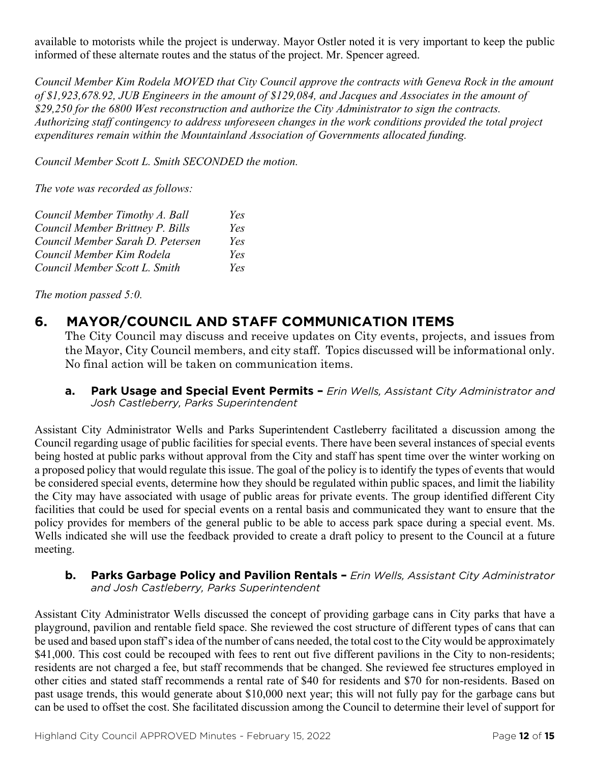available to motorists while the project is underway. Mayor Ostler noted it is very important to keep the public informed of these alternate routes and the status of the project. Mr. Spencer agreed.

*Council Member Kim Rodela MOVED that City Council approve the contracts with Geneva Rock in the amount of \$1,923,678.92, JUB Engineers in the amount of \$129,084, and Jacques and Associates in the amount of \$29,250 for the 6800 West reconstruction and authorize the City Administrator to sign the contracts. Authorizing staff contingency to address unforeseen changes in the work conditions provided the total project expenditures remain within the Mountainland Association of Governments allocated funding.* 

*Council Member Scott L. Smith SECONDED the motion.* 

*The vote was recorded as follows:*

| Council Member Timothy A. Ball   | Yes |
|----------------------------------|-----|
| Council Member Brittney P. Bills | Yes |
| Council Member Sarah D. Petersen | Yes |
| Council Member Kim Rodela        | Yes |
| Council Member Scott L. Smith    | Yes |

*The motion passed 5:0.* 

## **6. MAYOR/COUNCIL AND STAFF COMMUNICATION ITEMS**

The City Council may discuss and receive updates on City events, projects, and issues from the Mayor, City Council members, and city staff. Topics discussed will be informational only. No final action will be taken on communication items.

**a. Park Usage and Special Event Permits –** *Erin Wells, Assistant City Administrator and Josh Castleberry, Parks Superintendent*

Assistant City Administrator Wells and Parks Superintendent Castleberry facilitated a discussion among the Council regarding usage of public facilities for special events. There have been several instances of special events being hosted at public parks without approval from the City and staff has spent time over the winter working on a proposed policy that would regulate this issue. The goal of the policy is to identify the types of events that would be considered special events, determine how they should be regulated within public spaces, and limit the liability the City may have associated with usage of public areas for private events. The group identified different City facilities that could be used for special events on a rental basis and communicated they want to ensure that the policy provides for members of the general public to be able to access park space during a special event. Ms. Wells indicated she will use the feedback provided to create a draft policy to present to the Council at a future meeting.

**b. Parks Garbage Policy and Pavilion Rentals –** *Erin Wells, Assistant City Administrator and Josh Castleberry, Parks Superintendent*

Assistant City Administrator Wells discussed the concept of providing garbage cans in City parks that have a playground, pavilion and rentable field space. She reviewed the cost structure of different types of cans that can be used and based upon staff's idea of the number of cans needed, the total cost to the City would be approximately \$41,000. This cost could be recouped with fees to rent out five different pavilions in the City to non-residents; residents are not charged a fee, but staff recommends that be changed. She reviewed fee structures employed in other cities and stated staff recommends a rental rate of \$40 for residents and \$70 for non-residents. Based on past usage trends, this would generate about \$10,000 next year; this will not fully pay for the garbage cans but can be used to offset the cost. She facilitated discussion among the Council to determine their level of support for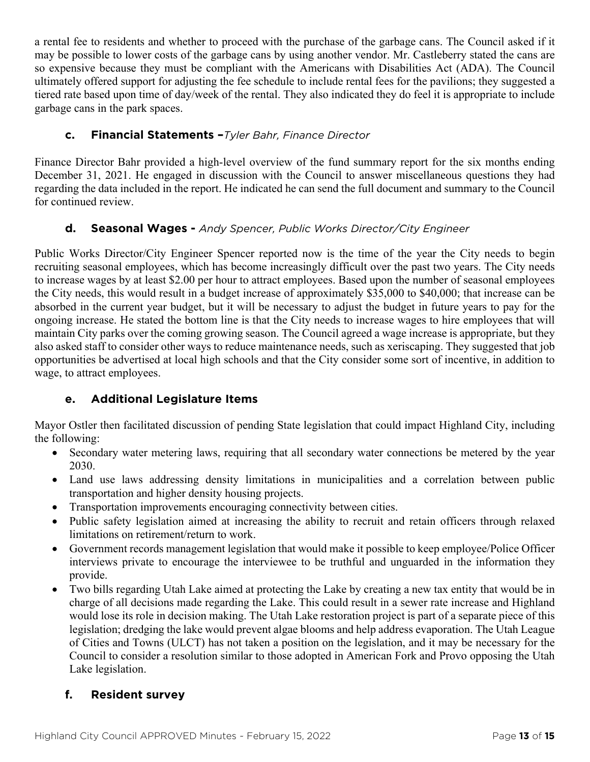a rental fee to residents and whether to proceed with the purchase of the garbage cans. The Council asked if it may be possible to lower costs of the garbage cans by using another vendor. Mr. Castleberry stated the cans are so expensive because they must be compliant with the Americans with Disabilities Act (ADA). The Council ultimately offered support for adjusting the fee schedule to include rental fees for the pavilions; they suggested a tiered rate based upon time of day/week of the rental. They also indicated they do feel it is appropriate to include garbage cans in the park spaces.

#### **c. Financial Statements –***Tyler Bahr, Finance Director*

Finance Director Bahr provided a high-level overview of the fund summary report for the six months ending December 31, 2021. He engaged in discussion with the Council to answer miscellaneous questions they had regarding the data included in the report. He indicated he can send the full document and summary to the Council for continued review.

### **d. Seasonal Wages -** *Andy Spencer, Public Works Director/City Engineer*

Public Works Director/City Engineer Spencer reported now is the time of the year the City needs to begin recruiting seasonal employees, which has become increasingly difficult over the past two years. The City needs to increase wages by at least \$2.00 per hour to attract employees. Based upon the number of seasonal employees the City needs, this would result in a budget increase of approximately \$35,000 to \$40,000; that increase can be absorbed in the current year budget, but it will be necessary to adjust the budget in future years to pay for the ongoing increase. He stated the bottom line is that the City needs to increase wages to hire employees that will maintain City parks over the coming growing season. The Council agreed a wage increase is appropriate, but they also asked staff to consider other ways to reduce maintenance needs, such as xeriscaping. They suggested that job opportunities be advertised at local high schools and that the City consider some sort of incentive, in addition to wage, to attract employees.

### **e. Additional Legislature Items**

Mayor Ostler then facilitated discussion of pending State legislation that could impact Highland City, including the following:

- Secondary water metering laws, requiring that all secondary water connections be metered by the year 2030.
- Land use laws addressing density limitations in municipalities and a correlation between public transportation and higher density housing projects.
- Transportation improvements encouraging connectivity between cities.
- Public safety legislation aimed at increasing the ability to recruit and retain officers through relaxed limitations on retirement/return to work.
- Government records management legislation that would make it possible to keep employee/Police Officer interviews private to encourage the interviewee to be truthful and unguarded in the information they provide.
- Two bills regarding Utah Lake aimed at protecting the Lake by creating a new tax entity that would be in charge of all decisions made regarding the Lake. This could result in a sewer rate increase and Highland would lose its role in decision making. The Utah Lake restoration project is part of a separate piece of this legislation; dredging the lake would prevent algae blooms and help address evaporation. The Utah League of Cities and Towns (ULCT) has not taken a position on the legislation, and it may be necessary for the Council to consider a resolution similar to those adopted in American Fork and Provo opposing the Utah Lake legislation.

### **f. Resident survey**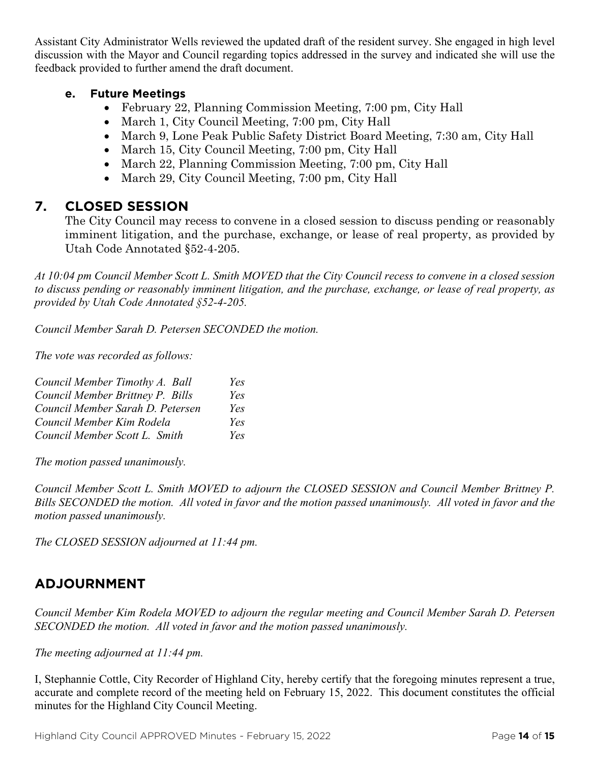Assistant City Administrator Wells reviewed the updated draft of the resident survey. She engaged in high level discussion with the Mayor and Council regarding topics addressed in the survey and indicated she will use the feedback provided to further amend the draft document.

#### **e. Future Meetings**

- February 22, Planning Commission Meeting, 7:00 pm, City Hall
- March 1, City Council Meeting, 7:00 pm, City Hall
- March 9, Lone Peak Public Safety District Board Meeting, 7:30 am, City Hall
- March 15, City Council Meeting, 7:00 pm, City Hall
- March 22, Planning Commission Meeting, 7:00 pm, City Hall
- March 29, City Council Meeting, 7:00 pm, City Hall

### **7. CLOSED SESSION**

The City Council may recess to convene in a closed session to discuss pending or reasonably imminent litigation, and the purchase, exchange, or lease of real property, as provided by Utah Code Annotated §52-4-205.

*At 10:04 pm Council Member Scott L. Smith MOVED that the City Council recess to convene in a closed session to discuss pending or reasonably imminent litigation, and the purchase, exchange, or lease of real property, as provided by Utah Code Annotated §52-4-205.* 

*Council Member Sarah D. Petersen SECONDED the motion.*

*The vote was recorded as follows:*

| Council Member Timothy A. Ball   | Yes |
|----------------------------------|-----|
| Council Member Brittney P. Bills | Yes |
| Council Member Sarah D. Petersen | Yes |
| Council Member Kim Rodela        | Yes |
| Council Member Scott L. Smith    | Yes |

*The motion passed unanimously.*

*Council Member Scott L. Smith MOVED to adjourn the CLOSED SESSION and Council Member Brittney P. Bills SECONDED the motion. All voted in favor and the motion passed unanimously. All voted in favor and the motion passed unanimously.*

*The CLOSED SESSION adjourned at 11:44 pm.*

### **ADJOURNMENT**

*Council Member Kim Rodela MOVED to adjourn the regular meeting and Council Member Sarah D. Petersen SECONDED the motion. All voted in favor and the motion passed unanimously.* 

#### *The meeting adjourned at 11:44 pm.*

I, Stephannie Cottle, City Recorder of Highland City, hereby certify that the foregoing minutes represent a true, accurate and complete record of the meeting held on February 15, 2022. This document constitutes the official minutes for the Highland City Council Meeting.